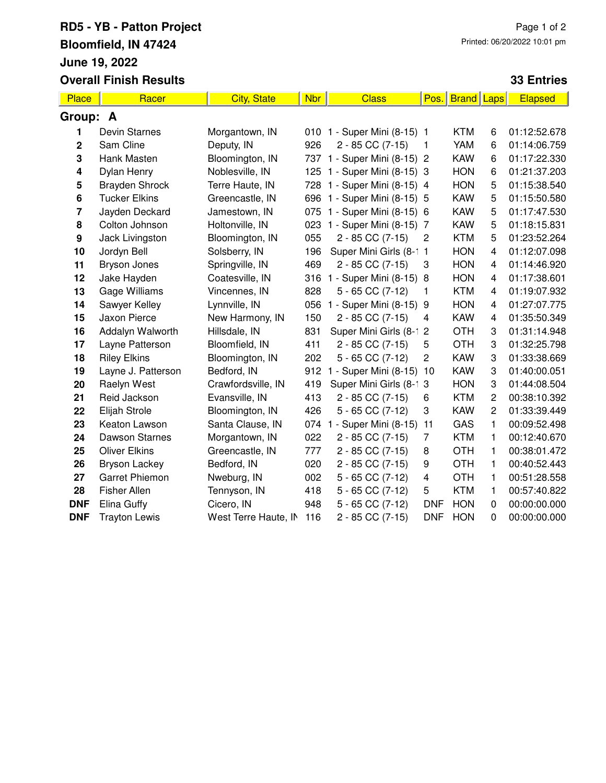## **RD5 - YB - Patton Project Bloomfield, IN 47424 June 19, 2022 Overall Finish Results**

## **33 Entries**

| Place       | Racer                 | <b>City, State</b>   | <b>Nbr</b> | <b>Class</b>                 | Pos.           | <b>Brand</b> | Laps           | Elapsed      |  |
|-------------|-----------------------|----------------------|------------|------------------------------|----------------|--------------|----------------|--------------|--|
| Group: A    |                       |                      |            |                              |                |              |                |              |  |
| 1           | Devin Starnes         | Morgantown, IN       |            | 010 1 - Super Mini (8-15) 1  |                | <b>KTM</b>   | 6              | 01:12:52.678 |  |
| $\mathbf 2$ | Sam Cline             | Deputy, IN           | 926        | 2 - 85 CC (7-15)             | 1              | YAM          | 6              | 01:14:06.759 |  |
| 3           | Hank Masten           | Bloomington, IN      |            | 737 1 - Super Mini (8-15) 2  |                | <b>KAW</b>   | 6              | 01:17:22.330 |  |
| 4           | Dylan Henry           | Noblesville, IN      |            | 125 1 - Super Mini (8-15) 3  |                | <b>HON</b>   | 6              | 01:21:37.203 |  |
| 5           | <b>Brayden Shrock</b> | Terre Haute, IN      |            | 728 1 - Super Mini (8-15) 4  |                | <b>HON</b>   | 5              | 01:15:38.540 |  |
| 6           | <b>Tucker Elkins</b>  | Greencastle, IN      |            | 696 1 - Super Mini (8-15) 5  |                | <b>KAW</b>   | 5              | 01:15:50.580 |  |
| 7           | Jayden Deckard        | Jamestown, IN        | 075        | 1 - Super Mini (8-15) 6      |                | <b>KAW</b>   | 5              | 01:17:47.530 |  |
| 8           | Colton Johnson        | Holtonville, IN      |            | 023 1 - Super Mini (8-15) 7  |                | <b>KAW</b>   | 5              | 01:18:15.831 |  |
| 9           | Jack Livingston       | Bloomington, IN      | 055        | 2 - 85 CC (7-15)             | 2              | <b>KTM</b>   | 5              | 01:23:52.264 |  |
| 10          | Jordyn Bell           | Solsberry, IN        | 196        | Super Mini Girls (8-1 1      |                | <b>HON</b>   | 4              | 01:12:07.098 |  |
| 11          | Bryson Jones          | Springville, IN      | 469        | 2 - 85 CC (7-15)             | 3              | <b>HON</b>   | 4              | 01:14:46.920 |  |
| 12          | Jake Hayden           | Coatesville, IN      |            | 316 1 - Super Mini (8-15) 8  |                | <b>HON</b>   | 4              | 01:17:38.601 |  |
| 13          | Gage Williams         | Vincennes, IN        | 828        | $5 - 65$ CC $(7-12)$         | $\mathbf{1}$   | <b>KTM</b>   | 4              | 01:19:07.932 |  |
| 14          | Sawyer Kelley         | Lynnville, IN        |            | 056 1 - Super Mini (8-15) 9  |                | <b>HON</b>   | $\overline{4}$ | 01:27:07.775 |  |
| 15          | Jaxon Pierce          | New Harmony, IN      | 150        | 2 - 85 CC (7-15)             | 4              | <b>KAW</b>   | 4              | 01:35:50.349 |  |
| 16          | Addalyn Walworth      | Hillsdale, IN        | 831        | Super Mini Girls (8-1 2      |                | <b>OTH</b>   | 3              | 01:31:14.948 |  |
| 17          | Layne Patterson       | Bloomfield, IN       | 411        | 2 - 85 CC (7-15)             | 5              | <b>OTH</b>   | 3              | 01:32:25.798 |  |
| 18          | <b>Riley Elkins</b>   | Bloomington, IN      | 202        | $5 - 65$ CC $(7-12)$         | $\overline{c}$ | <b>KAW</b>   | 3              | 01:33:38.669 |  |
| 19          | Layne J. Patterson    | Bedford, IN          | 912        | 1 - Super Mini (8-15)        | 10             | <b>KAW</b>   | 3              | 01:40:00.051 |  |
| 20          | Raelyn West           | Crawfordsville, IN   | 419        | Super Mini Girls (8-1 3      |                | <b>HON</b>   | 3              | 01:44:08.504 |  |
| 21          | Reid Jackson          | Evansville, IN       | 413        | 2 - 85 CC (7-15)             | 6              | <b>KTM</b>   | $\overline{c}$ | 00:38:10.392 |  |
| 22          | Elijah Strole         | Bloomington, IN      | 426        | 5 - 65 CC (7-12)             | 3              | <b>KAW</b>   | $\overline{c}$ | 01:33:39.449 |  |
| 23          | Keaton Lawson         | Santa Clause, IN     |            | 074 1 - Super Mini (8-15) 11 |                | GAS          | 1              | 00:09:52.498 |  |
| 24          | Dawson Starnes        | Morgantown, IN       | 022        | 2 - 85 CC (7-15)             | 7              | <b>KTM</b>   | 1              | 00:12:40.670 |  |
| 25          | <b>Oliver Elkins</b>  | Greencastle, IN      | 777        | 2 - 85 CC (7-15)             | 8              | <b>OTH</b>   | 1              | 00:38:01.472 |  |
| 26          | <b>Bryson Lackey</b>  | Bedford, IN          | 020        | 2 - 85 CC (7-15)             | 9              | <b>OTH</b>   | 1              | 00:40:52.443 |  |
| 27          | <b>Garret Phiemon</b> | Nweburg, IN          | 002        | $5 - 65$ CC $(7-12)$         | 4              | <b>OTH</b>   | 1              | 00:51:28.558 |  |
| 28          | <b>Fisher Allen</b>   | Tennyson, IN         | 418        | $5 - 65$ CC $(7-12)$         | 5              | <b>KTM</b>   | 1              | 00:57:40.822 |  |
| <b>DNF</b>  | Elina Guffy           | Cicero, IN           | 948        | $5 - 65$ CC $(7-12)$         | <b>DNF</b>     | <b>HON</b>   | $\Omega$       | 00:00:00.000 |  |
| <b>DNF</b>  | <b>Trayton Lewis</b>  | West Terre Haute, IN | 116        | 2 - 85 CC (7-15)             | <b>DNF</b>     | <b>HON</b>   | 0              | 00:00:00.000 |  |